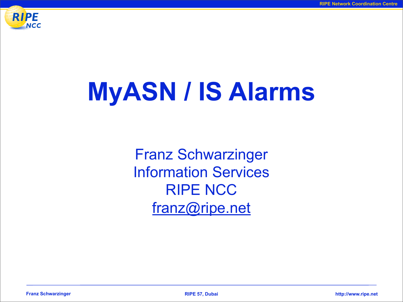

# **MyASN / IS Alarms**

Franz Schwarzinger Information Services RIPE NCC [franz@ripe.net](mailto:franz@ripe.net)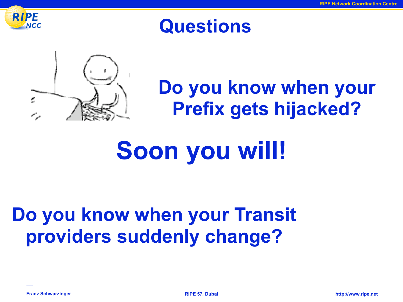

### **Questions**



## **Do you know when your Prefix gets hijacked?**

# **Soon you will!**

### **Do you know when your Transit providers suddenly change?**

**Franz Schwarzinger RIPE 57, Dubai http://www.ripe.net**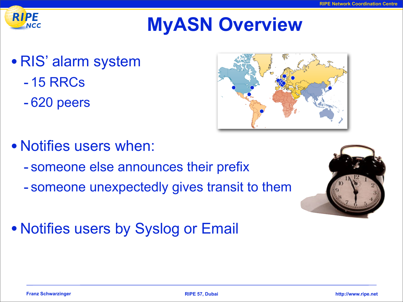

## **MyASN Overview**

- RIS' alarm system
	- 15 RRCs
	- 620 peers



- Notifies users when:
	- someone else announces their prefix
	- someone unexpectedly gives transit to them
- Notifies users by Syslog or Email

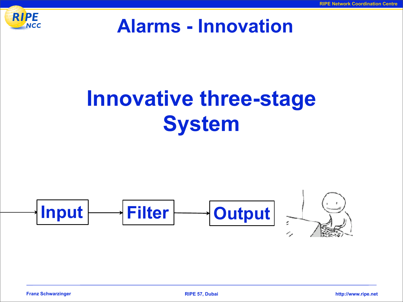

#### **Alarms - Innovation**

# **Innovative three-stage System**

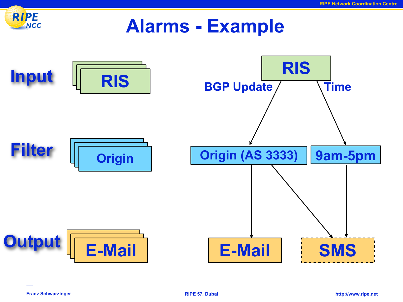

#### **Alarms - Example**

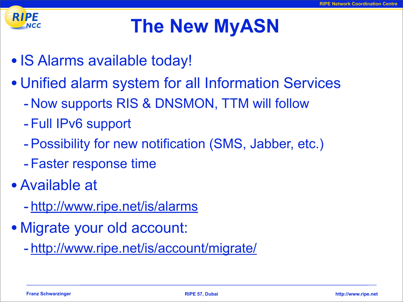

## **The New MyASN**

- IS Alarms available today!
- Unified alarm system for all Information Services
	- Now supports RIS & DNSMON, TTM will follow
	- Full IPv6 support
	- -Possibility for new notification (SMS, Jabber, etc.)
	- Faster response time
- Available at
	- <http://www.ripe.net/is/alarms>
- Migrate your old account:
	- [http://www.ripe.net/is/account/migrate/](http://www.ripe.net/is/security/migrate/)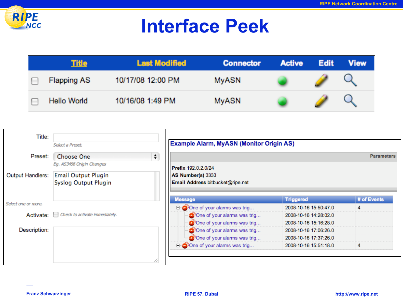

### **Interface Peek**

| <u> Title</u>      | <b>Last Modified</b> | <b>Connector</b> | <b>Active</b> | <b>Edit</b> | View |
|--------------------|----------------------|------------------|---------------|-------------|------|
| <b>Flapping AS</b> | 10/17/08 12:00 PM    | <b>MyASN</b>     |               |             |      |
| Hello World        | 10/16/08 1:49 PM     | <b>MyASN</b>     |               |             |      |

| Title:<br>Select a Preset. |                                                            |        | <b>Example Alarm, MyASN (Monitor Origin AS)</b> |                       |                   |  |
|----------------------------|------------------------------------------------------------|--------|-------------------------------------------------|-----------------------|-------------------|--|
| Preset:                    | Choose One                                                 | $\div$ |                                                 |                       | <b>Parameters</b> |  |
|                            | Eg. AS3456 Origin Changes                                  |        | Prefix 192.0.2.0/24                             |                       |                   |  |
| Output Handlers:           | <b>Email Output Plugin</b>                                 |        | AS Number(s) 3333                               |                       |                   |  |
|                            | Syslog Output Plugin                                       |        | Email Address bitbucket@ripe.net                |                       |                   |  |
|                            |                                                            |        | <b>Message</b>                                  | <b>Triggered</b>      | # of Events       |  |
| Select one or more.        |                                                            |        | <b>O</b> One of your alarms was trig            | 2008-10-16 15:50:47.0 | 4                 |  |
| Activate:                  | Check to activate immediately.<br>$\overline{\phantom{a}}$ |        | One of your alarms was trig                     | 2008-10-16 14:28:02.0 |                   |  |
|                            |                                                            |        | One of your alarms was trig                     | 2008-10-16 15:16:28.0 |                   |  |
| Description:               |                                                            |        | One of your alarms was trig                     | 2008-10-16 17:06:26.0 |                   |  |
|                            |                                                            |        | One of your alarms was trig                     | 2008-10-16 17:37:26.0 |                   |  |
|                            |                                                            |        | $\oplus$ One of your alarms was trig            | 2008-10-16 15:51:18.0 |                   |  |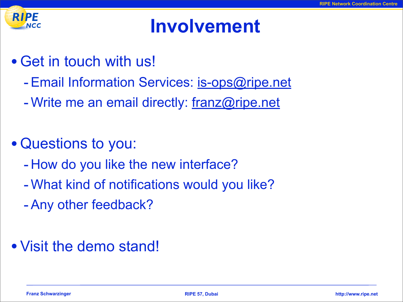

### **Involvement**

- Get in touch with us!
	- Email Information Services: [is-ops@ripe.net](mailto:ttm@ripe.net)
	- Write me an email directly: [franz@ripe.net](mailto:franz@ripe.net)
- Questions to you:
	- How do you like the new interface?
	- -What kind of notifications would you like?
	- -Any other feedback?
- Visit the demo stand!